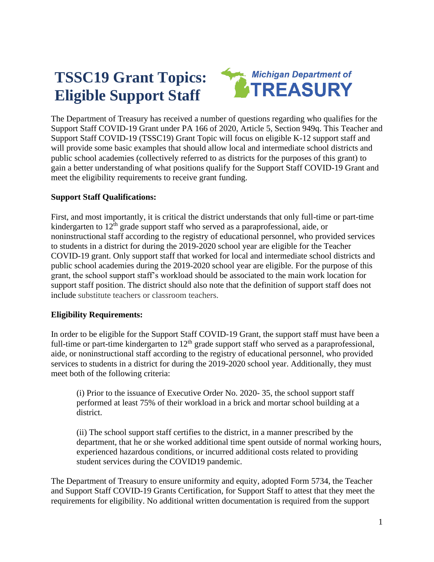# **TSSC19 Grant Topics: Eligible Support Staff**



The Department of Treasury has received a number of questions regarding who qualifies for the Support Staff COVID-19 Grant under PA 166 of 2020, Article 5, Section 949q. This Teacher and Support Staff COVID-19 (TSSC19) Grant Topic will focus on eligible K-12 support staff and will provide some basic examples that should allow local and intermediate school districts and public school academies (collectively referred to as districts for the purposes of this grant) to gain a better understanding of what positions qualify for the Support Staff COVID-19 Grant and meet the eligibility requirements to receive grant funding.

# **Support Staff Qualifications:**

First, and most importantly, it is critical the district understands that only full-time or part-time kindergarten to  $12<sup>th</sup>$  grade support staff who served as a paraprofessional, aide, or noninstructional staff according to the registry of educational personnel, who provided services to students in a district for during the 2019-2020 school year are eligible for the Teacher COVID-19 grant. Only support staff that worked for local and intermediate school districts and public school academies during the 2019-2020 school year are eligible. For the purpose of this grant, the school support staff's workload should be associated to the main work location for support staff position. The district should also note that the definition of support staff does not include substitute teachers or classroom teachers.

# **Eligibility Requirements:**

In order to be eligible for the Support Staff COVID-19 Grant, the support staff must have been a full-time or part-time kindergarten to  $12<sup>th</sup>$  grade support staff who served as a paraprofessional, aide, or noninstructional staff according to the registry of educational personnel, who provided services to students in a district for during the 2019-2020 school year. Additionally, they must meet both of the following criteria:

(i) Prior to the issuance of Executive Order No. 2020- 35, the school support staff performed at least 75% of their workload in a brick and mortar school building at a district.

(ii) The school support staff certifies to the district, in a manner prescribed by the department, that he or she worked additional time spent outside of normal working hours, experienced hazardous conditions, or incurred additional costs related to providing student services during the COVID19 pandemic.

The Department of Treasury to ensure uniformity and equity, adopted Form 5734, the Teacher and Support Staff COVID-19 Grants Certification, for Support Staff to attest that they meet the requirements for eligibility. No additional written documentation is required from the support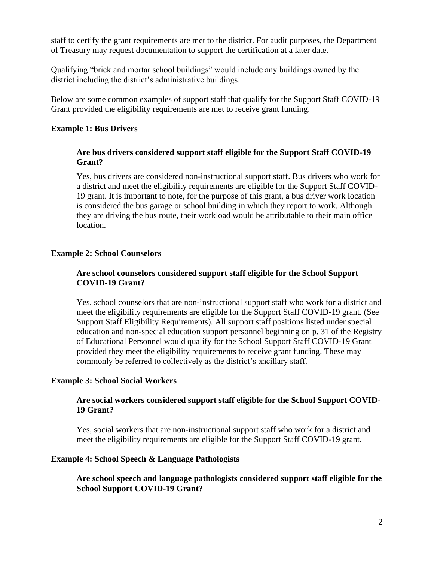staff to certify the grant requirements are met to the district. For audit purposes, the Department of Treasury may request documentation to support the certification at a later date.

Qualifying "brick and mortar school buildings" would include any buildings owned by the district including the district's administrative buildings.

Below are some common examples of support staff that qualify for the Support Staff COVID-19 Grant provided the eligibility requirements are met to receive grant funding.

## **Example 1: Bus Drivers**

#### **Are bus drivers considered support staff eligible for the Support Staff COVID-19 Grant?**

Yes, bus drivers are considered non-instructional support staff. Bus drivers who work for a district and meet the eligibility requirements are eligible for the Support Staff COVID-19 grant. It is important to note, for the purpose of this grant, a bus driver work location is considered the bus garage or school building in which they report to work. Although they are driving the bus route, their workload would be attributable to their main office location.

#### **Example 2: School Counselors**

# **Are school counselors considered support staff eligible for the School Support COVID-19 Grant?**

Yes, school counselors that are non-instructional support staff who work for a district and meet the eligibility requirements are eligible for the Support Staff COVID-19 grant. (See Support Staff Eligibility Requirements). All support staff positions listed under special education and non-special education support personnel beginning on p. 31 of the Registry of Educational Personnel would qualify for the School Support Staff COVID-19 Grant provided they meet the eligibility requirements to receive grant funding. These may commonly be referred to collectively as the district's ancillary staff.

#### **Example 3: School Social Workers**

## **Are social workers considered support staff eligible for the School Support COVID-19 Grant?**

Yes, social workers that are non-instructional support staff who work for a district and meet the eligibility requirements are eligible for the Support Staff COVID-19 grant.

#### **Example 4: School Speech & Language Pathologists**

**Are school speech and language pathologists considered support staff eligible for the School Support COVID-19 Grant?**